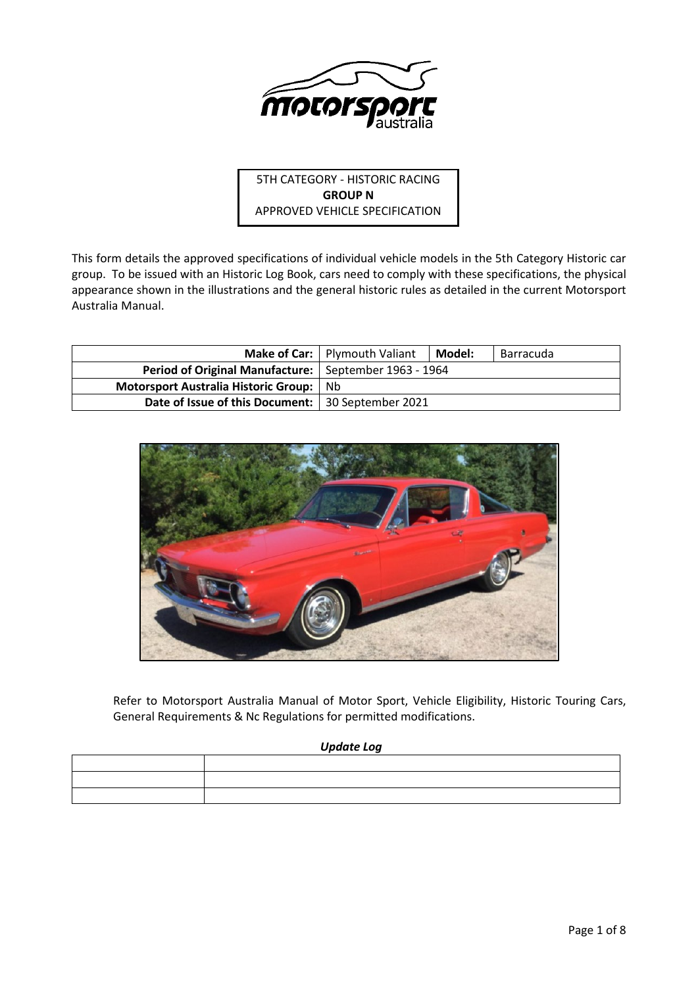

5TH CATEGORY - HISTORIC RACING **GROUP N** APPROVED VEHICLE SPECIFICATION

This form details the approved specifications of individual vehicle models in the 5th Category Historic car group. To be issued with an Historic Log Book, cars need to comply with these specifications, the physical appearance shown in the illustrations and the general historic rules as detailed in the current Motorsport Australia Manual.

|                                                         | Make of Car:   Plymouth Valiant | Model: | Barracuda |
|---------------------------------------------------------|---------------------------------|--------|-----------|
| Period of Original Manufacture:   September 1963 - 1964 |                                 |        |           |
| Motorsport Australia Historic Group: Nb                 |                                 |        |           |
| Date of Issue of this Document:   30 September 2021     |                                 |        |           |



Refer to Motorsport Australia Manual of Motor Sport, Vehicle Eligibility, Historic Touring Cars, General Requirements & Nc Regulations for permitted modifications.

### *Update Log*

| ,我们也不会有什么?""我们的人,我们也不会有什么?""我们的人,我们也不会有什么?""我们的人,我们也不会有什么?""我们的人,我们也不会有什么?""我们的人                                |  |
|-----------------------------------------------------------------------------------------------------------------|--|
| the contract of the contract of the contract of the contract of the contract of the contract of the contract of |  |
|                                                                                                                 |  |
|                                                                                                                 |  |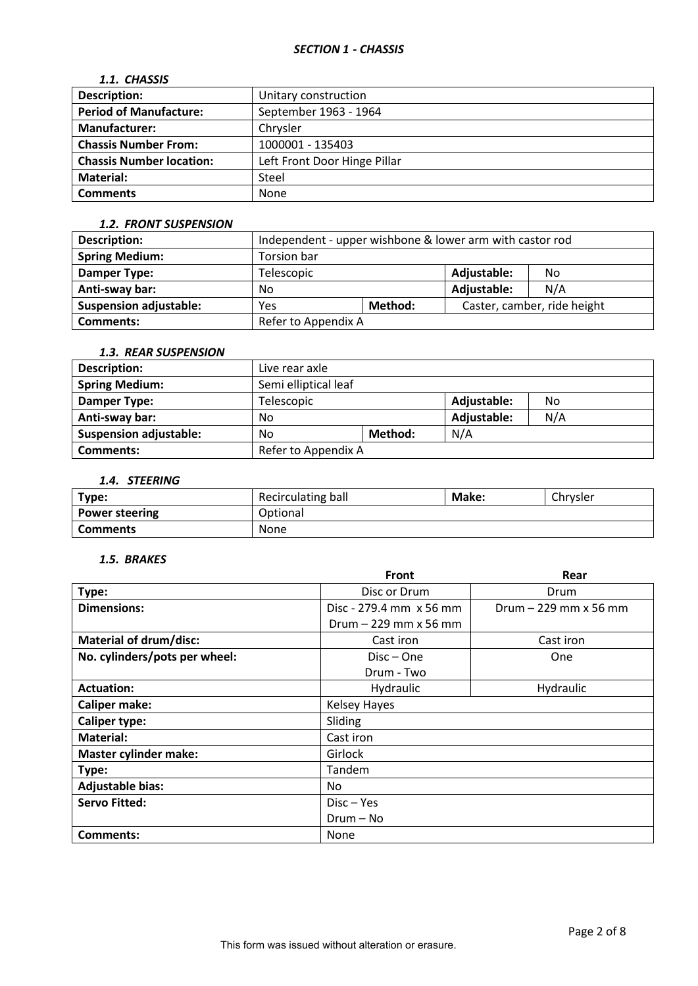## *1.1. CHASSIS*

| <b>Description:</b>             | Unitary construction         |
|---------------------------------|------------------------------|
| <b>Period of Manufacture:</b>   | September 1963 - 1964        |
| <b>Manufacturer:</b>            | Chrysler                     |
| <b>Chassis Number From:</b>     | 1000001 - 135403             |
| <b>Chassis Number location:</b> | Left Front Door Hinge Pillar |
| Material:                       | Steel                        |
| <b>Comments</b>                 | None                         |

#### *1.2. FRONT SUSPENSION*

| Description:                  | Independent - upper wishbone & lower arm with castor rod |  |             |     |  |
|-------------------------------|----------------------------------------------------------|--|-------------|-----|--|
| <b>Spring Medium:</b>         | Torsion bar                                              |  |             |     |  |
| Damper Type:                  | Adjustable:<br>Telescopic<br>No                          |  |             |     |  |
| Anti-sway bar:                | No                                                       |  | Adjustable: | N/A |  |
| <b>Suspension adjustable:</b> | Caster, camber, ride height<br>Method:<br>Yes            |  |             |     |  |
| <b>Comments:</b>              | Refer to Appendix A                                      |  |             |     |  |

# *1.3. REAR SUSPENSION*

| Description:                  | Live rear axle                         |         |     |  |  |
|-------------------------------|----------------------------------------|---------|-----|--|--|
| <b>Spring Medium:</b>         | Semi elliptical leaf                   |         |     |  |  |
| Damper Type:                  | Adjustable:<br><b>Telescopic</b><br>No |         |     |  |  |
| Anti-sway bar:                | N/A<br>Adjustable:<br>No               |         |     |  |  |
| <b>Suspension adjustable:</b> | No                                     | Method: | N/A |  |  |
| <b>Comments:</b>              | Refer to Appendix A                    |         |     |  |  |

## *1.4. STEERING*

| Type:                 | Recirculating ball | Make: | Chrysler |
|-----------------------|--------------------|-------|----------|
| <b>Power steering</b> | Optional           |       |          |
| <b>Comments</b>       | <b>None</b>        |       |          |

## *1.5. BRAKES*

|                               | <b>Front</b>            | Rear                  |
|-------------------------------|-------------------------|-----------------------|
| Type:                         | Disc or Drum            | Drum                  |
| <b>Dimensions:</b>            | Disc - 279.4 mm x 56 mm | Drum - 229 mm x 56 mm |
|                               | Drum $-229$ mm x 56 mm  |                       |
| <b>Material of drum/disc:</b> | Cast iron               | Cast iron             |
| No. cylinders/pots per wheel: | $Disc - One$            | One                   |
|                               | Drum - Two              |                       |
| <b>Actuation:</b>             | Hydraulic               | Hydraulic             |
| <b>Caliper make:</b>          | <b>Kelsey Hayes</b>     |                       |
| <b>Caliper type:</b>          | Sliding                 |                       |
| <b>Material:</b>              | Cast iron               |                       |
| <b>Master cylinder make:</b>  | Girlock                 |                       |
| Type:                         | Tandem                  |                       |
| <b>Adjustable bias:</b>       | No                      |                       |
| <b>Servo Fitted:</b>          | Disc – Yes              |                       |
|                               | Drum - No               |                       |
| Comments:                     | None                    |                       |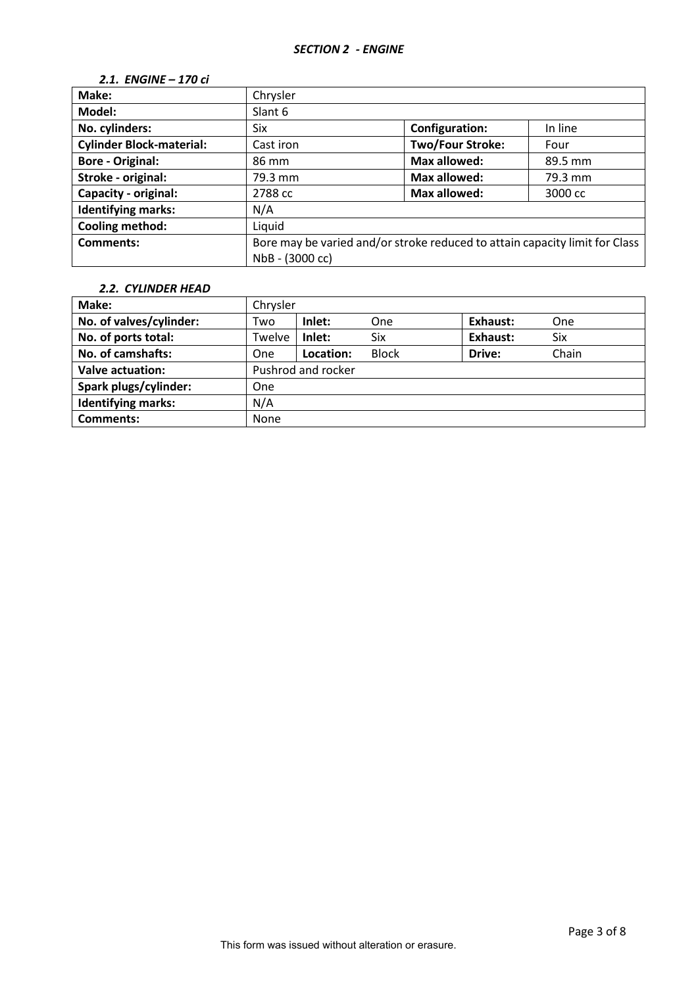## *2.1. ENGINE – 170 ci*

| Make:                           | Chrysler                                                                    |                         |         |  |  |
|---------------------------------|-----------------------------------------------------------------------------|-------------------------|---------|--|--|
| Model:                          | Slant 6                                                                     |                         |         |  |  |
| No. cylinders:                  | Six                                                                         | Configuration:          | In line |  |  |
| <b>Cylinder Block-material:</b> | Cast iron                                                                   | <b>Two/Four Stroke:</b> | Four    |  |  |
| <b>Bore - Original:</b>         | 86 mm                                                                       | <b>Max allowed:</b>     | 89.5 mm |  |  |
| Stroke - original:              | 79.3 mm                                                                     | <b>Max allowed:</b>     | 79.3 mm |  |  |
| <b>Capacity - original:</b>     | 2788 cc                                                                     | Max allowed:            | 3000 cc |  |  |
| <b>Identifying marks:</b>       | N/A                                                                         |                         |         |  |  |
| Cooling method:                 | Liquid                                                                      |                         |         |  |  |
| Comments:                       | Bore may be varied and/or stroke reduced to attain capacity limit for Class |                         |         |  |  |
|                                 | NbB - (3000 cc)                                                             |                         |         |  |  |

## *2.2. CYLINDER HEAD*

| Make:                     | Chrysler    |                    |              |          |       |
|---------------------------|-------------|--------------------|--------------|----------|-------|
| No. of valves/cylinder:   | Two         | Inlet:             | One          | Exhaust: | One   |
| No. of ports total:       | Twelve      | Inlet:             | <b>Six</b>   | Exhaust: | Six   |
| No. of camshafts:         | One         | Location:          | <b>Block</b> | Drive:   | Chain |
| <b>Valve actuation:</b>   |             | Pushrod and rocker |              |          |       |
| Spark plugs/cylinder:     | One         |                    |              |          |       |
| <b>Identifying marks:</b> | N/A         |                    |              |          |       |
| Comments:                 | <b>None</b> |                    |              |          |       |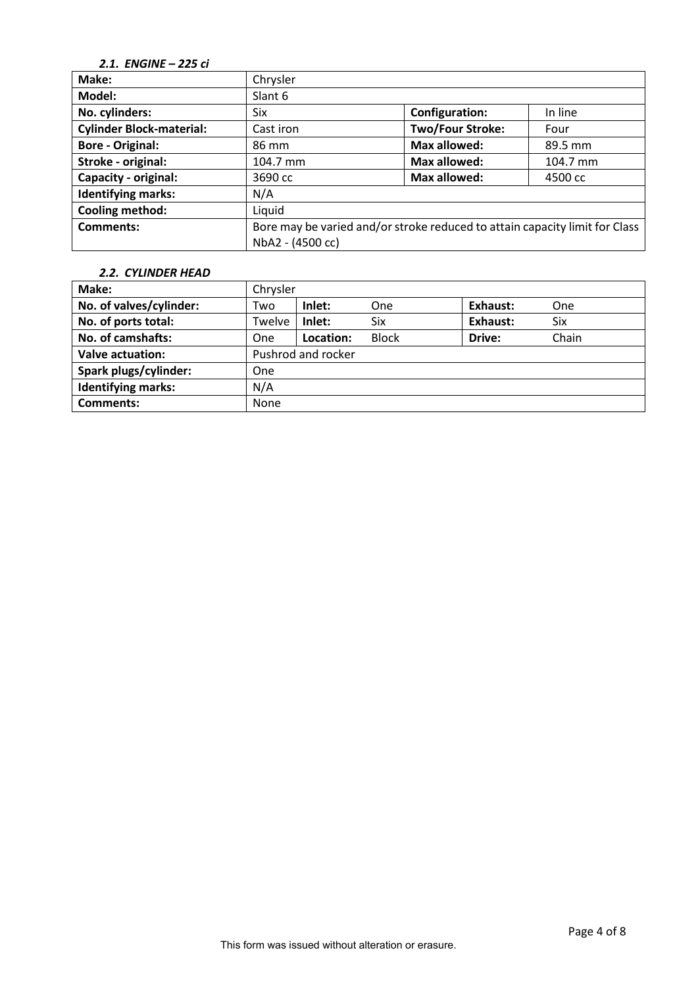# *2.1. ENGINE – 225 ci*

| Make:                           | Chrysler                                                                    |                         |          |  |  |  |
|---------------------------------|-----------------------------------------------------------------------------|-------------------------|----------|--|--|--|
| Model:                          | Slant 6                                                                     |                         |          |  |  |  |
| No. cylinders:                  | Six                                                                         | <b>Configuration:</b>   | In line  |  |  |  |
| <b>Cylinder Block-material:</b> | Cast iron                                                                   | <b>Two/Four Stroke:</b> | Four     |  |  |  |
| <b>Bore - Original:</b>         | 86 mm                                                                       | Max allowed:            | 89.5 mm  |  |  |  |
| Stroke - original:              | 104.7 mm                                                                    | Max allowed:            | 104.7 mm |  |  |  |
| Capacity - original:            | 3690 cc                                                                     | Max allowed:            | 4500 cc  |  |  |  |
| <b>Identifying marks:</b>       | N/A                                                                         |                         |          |  |  |  |
| Cooling method:                 | Liquid                                                                      |                         |          |  |  |  |
| <b>Comments:</b>                | Bore may be varied and/or stroke reduced to attain capacity limit for Class |                         |          |  |  |  |
|                                 | NbA2 - (4500 cc)                                                            |                         |          |  |  |  |

### *2.2. CYLINDER HEAD*

| Make:                     | Chrysler           |           |              |          |       |
|---------------------------|--------------------|-----------|--------------|----------|-------|
| No. of valves/cylinder:   | Two                | Inlet:    | One          | Exhaust: | One   |
| No. of ports total:       | Twelve             | Inlet:    | <b>Six</b>   | Exhaust: | Six   |
| No. of camshafts:         | <b>One</b>         | Location: | <b>Block</b> | Drive:   | Chain |
| <b>Valve actuation:</b>   | Pushrod and rocker |           |              |          |       |
| Spark plugs/cylinder:     | <b>One</b>         |           |              |          |       |
| <b>Identifying marks:</b> | N/A                |           |              |          |       |
| <b>Comments:</b>          | None               |           |              |          |       |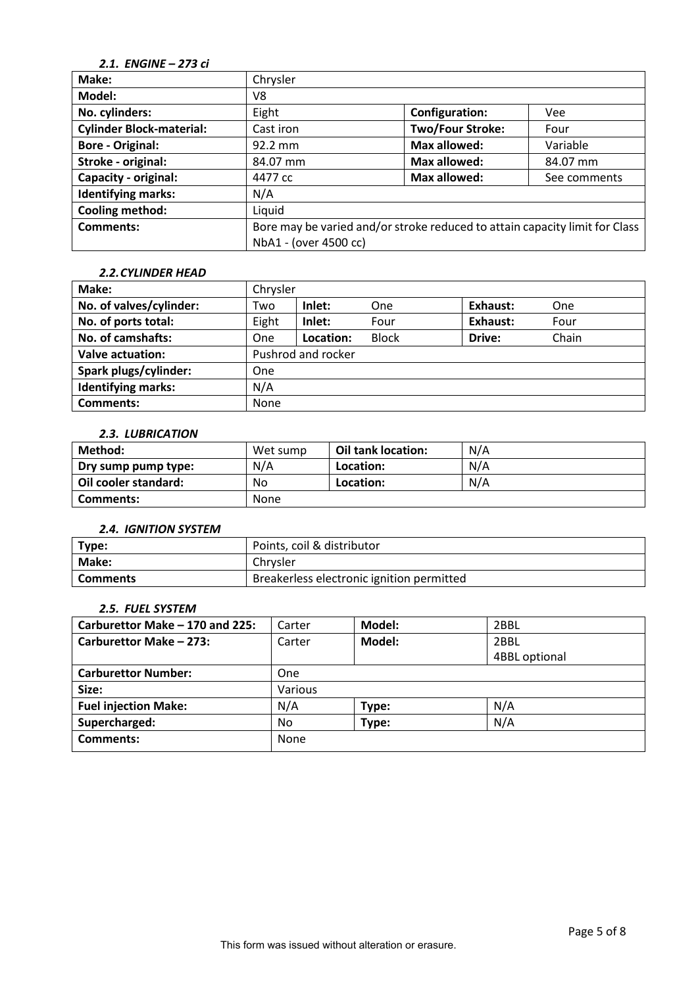# *2.1. ENGINE – 273 ci*

| Make:                           | Chrysler  |                                                                             |              |  |  |  |
|---------------------------------|-----------|-----------------------------------------------------------------------------|--------------|--|--|--|
| Model:                          | V8        |                                                                             |              |  |  |  |
| No. cylinders:                  | Eight     | <b>Configuration:</b>                                                       | <b>Vee</b>   |  |  |  |
| <b>Cylinder Block-material:</b> | Cast iron | <b>Two/Four Stroke:</b>                                                     | Four         |  |  |  |
| <b>Bore - Original:</b>         | 92.2 mm   | Max allowed:                                                                | Variable     |  |  |  |
| Stroke - original:              | 84.07 mm  | Max allowed:                                                                | 84.07 mm     |  |  |  |
| Capacity - original:            | 4477 cc   | <b>Max allowed:</b>                                                         | See comments |  |  |  |
| <b>Identifying marks:</b>       | N/A       |                                                                             |              |  |  |  |
| Cooling method:                 | Liquid    |                                                                             |              |  |  |  |
| <b>Comments:</b>                |           | Bore may be varied and/or stroke reduced to attain capacity limit for Class |              |  |  |  |
|                                 |           | NbA1 - (over 4500 cc)                                                       |              |  |  |  |

#### *2.2.CYLINDER HEAD*

| Make:                     | Chrysler |                    |              |          |       |
|---------------------------|----------|--------------------|--------------|----------|-------|
| No. of valves/cylinder:   | Two      | Inlet:             | One          | Exhaust: | One   |
| No. of ports total:       | Eight    | Inlet:             | Four         | Exhaust: | Four  |
| No. of camshafts:         | One      | Location:          | <b>Block</b> | Drive:   | Chain |
| <b>Valve actuation:</b>   |          | Pushrod and rocker |              |          |       |
| Spark plugs/cylinder:     | One      |                    |              |          |       |
| <b>Identifying marks:</b> | N/A      |                    |              |          |       |
| <b>Comments:</b>          | None     |                    |              |          |       |

## *2.3. LUBRICATION*

| Method:              | Wet sump | Oil tank location: | N/A |
|----------------------|----------|--------------------|-----|
| Dry sump pump type:  | N/A      | Location:          | N/A |
| Oil cooler standard: | No       | Location:          | N/A |
| Comments:            | None     |                    |     |

#### *2.4. IGNITION SYSTEM*

| Type:    | Points, coil & distributor                |
|----------|-------------------------------------------|
| Make:    | Chrysler                                  |
| Comments | Breakerless electronic ignition permitted |

### *2.5. FUEL SYSTEM*

| Carburettor Make - 170 and 225: | Carter                   | Model: | 2BBL          |
|---------------------------------|--------------------------|--------|---------------|
| Carburettor Make - 273:         | Model:<br>Carter<br>2BBL |        |               |
|                                 |                          |        | 4BBL optional |
| <b>Carburettor Number:</b>      | One                      |        |               |
| Size:                           | Various                  |        |               |
| <b>Fuel injection Make:</b>     | N/A                      | Type:  | N/A           |
| Supercharged:                   | No.                      | Type:  | N/A           |
| Comments:                       | None                     |        |               |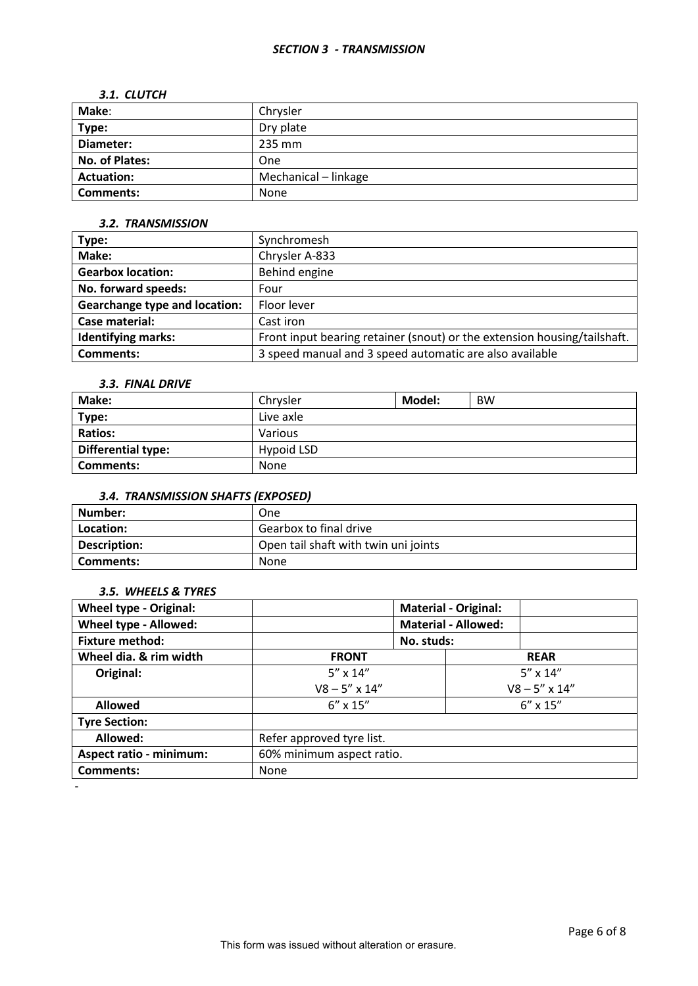#### *3.1. CLUTCH*

| Make:                 | Chrysler             |
|-----------------------|----------------------|
| Type:                 | Dry plate            |
| Diameter:             | 235 mm               |
| <b>No. of Plates:</b> | One                  |
| <b>Actuation:</b>     | Mechanical - linkage |
| <b>Comments:</b>      | None                 |

# *3.2. TRANSMISSION*

| Type:                                | Synchromesh                                                              |
|--------------------------------------|--------------------------------------------------------------------------|
| Make:                                | Chrysler A-833                                                           |
| <b>Gearbox location:</b>             | Behind engine                                                            |
| No. forward speeds:                  | Four                                                                     |
| <b>Gearchange type and location:</b> | Floor lever                                                              |
| Case material:                       | Cast iron                                                                |
| <b>Identifying marks:</b>            | Front input bearing retainer (snout) or the extension housing/tailshaft. |
| <b>Comments:</b>                     | 3 speed manual and 3 speed automatic are also available                  |

### *3.3. FINAL DRIVE*

| Make:                     | Chrysler   | Model: | <b>BW</b> |
|---------------------------|------------|--------|-----------|
| Type:                     | Live axle  |        |           |
| <b>Ratios:</b>            | Various    |        |           |
| <b>Differential type:</b> | Hypoid LSD |        |           |
| Comments:                 | None       |        |           |

# *3.4. TRANSMISSION SHAFTS (EXPOSED)*

| Number:      | One                                  |
|--------------|--------------------------------------|
| Location:    | Gearbox to final drive               |
| Description: | Open tail shaft with twin uni joints |
| Comments:    | <b>None</b>                          |

### *3.5. WHEELS & TYRES*

| <b>Wheel type - Original:</b>  |                           |                            | <b>Material - Original:</b> |                        |
|--------------------------------|---------------------------|----------------------------|-----------------------------|------------------------|
| Wheel type - Allowed:          |                           | <b>Material - Allowed:</b> |                             |                        |
| <b>Fixture method:</b>         |                           | No. studs:                 |                             |                        |
| Wheel dia. & rim width         | <b>FRONT</b>              |                            |                             | <b>REAR</b>            |
| Original:                      | $5'' \times 14''$         |                            | $5'' \times 14''$           |                        |
|                                | $V8 - 5'' \times 14''$    |                            |                             | $V8 - 5'' \times 14''$ |
| <b>Allowed</b>                 | $6'' \times 15''$         |                            |                             | $6'' \times 15''$      |
| <b>Tyre Section:</b>           |                           |                            |                             |                        |
| Allowed:                       | Refer approved tyre list. |                            |                             |                        |
| <b>Aspect ratio - minimum:</b> | 60% minimum aspect ratio. |                            |                             |                        |
| <b>Comments:</b>               | None                      |                            |                             |                        |
|                                |                           |                            |                             |                        |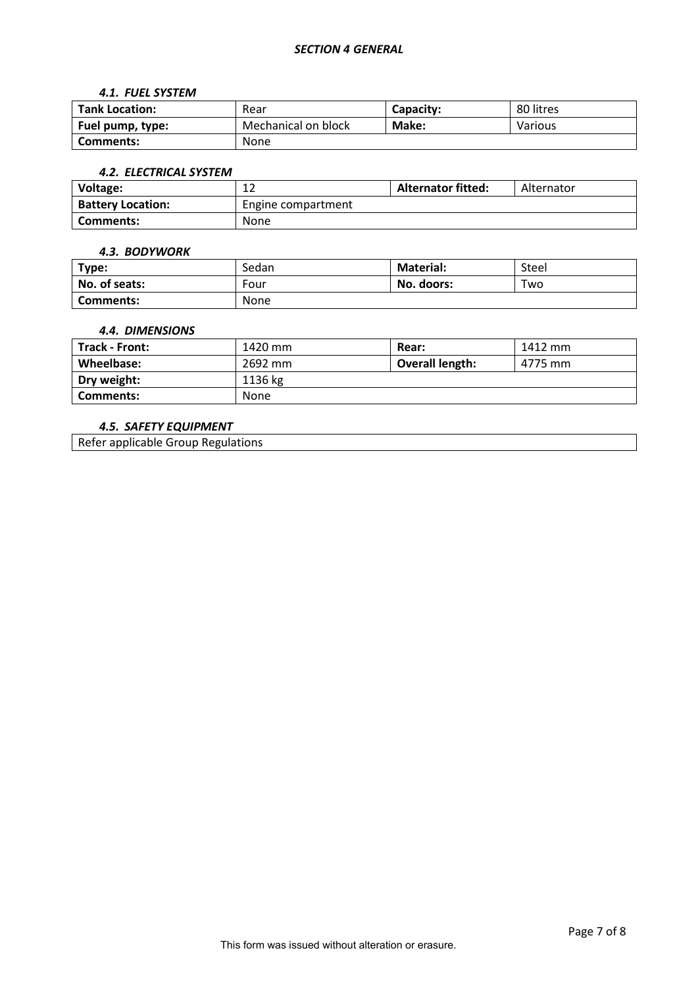#### *4.1. FUEL SYSTEM*

| <b>Tank Location:</b> | Rear                | Capacity: | 80 litres |
|-----------------------|---------------------|-----------|-----------|
| Fuel pump, type:      | Mechanical on block | Make:     | Various   |
| Comments:             | None                |           |           |

#### *4.2. ELECTRICAL SYSTEM*

| Voltage:                 | ∸                  | <b>Alternator fitted:</b> | Alternator |
|--------------------------|--------------------|---------------------------|------------|
| <b>Battery Location:</b> | Engine compartment |                           |            |
| Comments:                | None               |                           |            |

#### *4.3. BODYWORK*

| Type:            | Sedan       | <b>Material:</b> | Steel |
|------------------|-------------|------------------|-------|
| No. of seats:    | Four        | No. doors:       | Two   |
| <b>Comments:</b> | <b>None</b> |                  |       |

#### *4.4. DIMENSIONS*

| <b>Track - Front:</b> | 1420 mm | Rear:                  | 1412 mm |
|-----------------------|---------|------------------------|---------|
| Wheelbase:            | 2692 mm | <b>Overall length:</b> | 4775 mm |
| Dry weight:           | 1136 kg |                        |         |
| Comments:             | None    |                        |         |

## *4.5. SAFETY EQUIPMENT*

Refer applicable Group Regulations